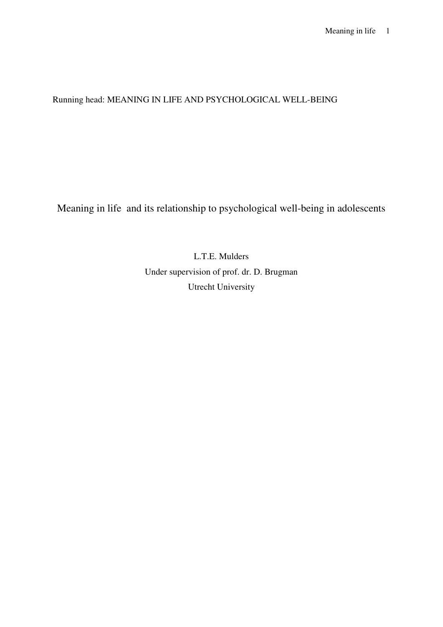# Running head: MEANING IN LIFE AND PSYCHOLOGICAL WELL-BEING

Meaning in life and its relationship to psychological well-being in adolescents

L.T.E. Mulders Under supervision of prof. dr. D. Brugman Utrecht University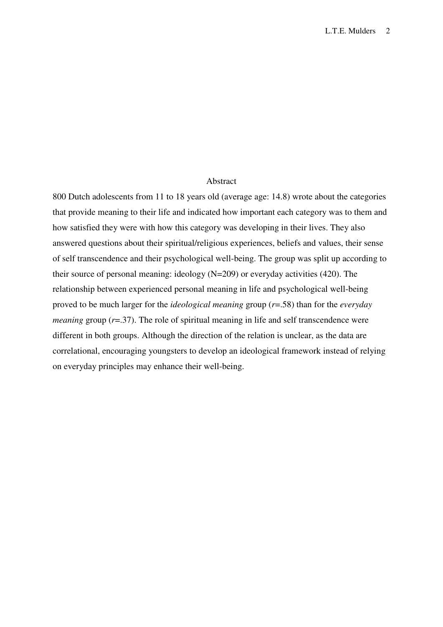## Abstract

800 Dutch adolescents from 11 to 18 years old (average age: 14.8) wrote about the categories that provide meaning to their life and indicated how important each category was to them and how satisfied they were with how this category was developing in their lives. They also answered questions about their spiritual/religious experiences, beliefs and values, their sense of self transcendence and their psychological well-being. The group was split up according to their source of personal meaning: ideology (N=209) or everyday activities (420). The relationship between experienced personal meaning in life and psychological well-being proved to be much larger for the *ideological meaning* group (*r*=.58) than for the *everyday meaning* group  $(r=0.37)$ . The role of spiritual meaning in life and self transcendence were different in both groups. Although the direction of the relation is unclear, as the data are correlational, encouraging youngsters to develop an ideological framework instead of relying on everyday principles may enhance their well-being.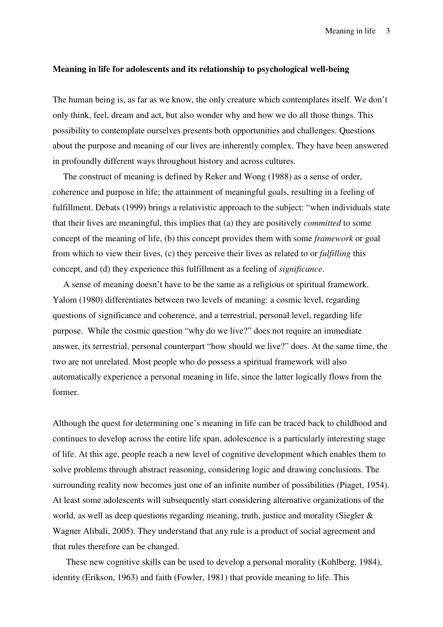## **Meaning in life for adolescents and its relationship to psychological well-being**

The human being is, as far as we know, the only creature which contemplates itself. We don't only think, feel, dream and act, but also wonder why and how we do all those things. This possibility to contemplate ourselves presents both opportunities and challenges. Questions about the purpose and meaning of our lives are inherently complex. They have been answered in profoundly different ways throughout history and across cultures.

The construct of meaning is defined by Reker and Wong (1988) as a sense of order, coherence and purpose in life; the attainment of meaningful goals, resulting in a feeling of fulfillment. Debats (1999) brings a relativistic approach to the subject: "when individuals state that their lives are meaningful, this implies that (a) they are positively *committed* to some concept of the meaning of life, (b) this concept provides them with some *framework* or goal from which to view their lives, (c) they perceive their lives as related to or *fulfilling* this concept, and (d) they experience this fulfillment as a feeling of *significance*.

A sense of meaning doesn't have to be the same as a religious or spiritual framework. Yalom (1980) differentiates between two levels of meaning: a cosmic level, regarding questions of significance and coherence, and a terrestrial, personal level, regarding life purpose. While the cosmic question "why do we live?" does not require an immediate answer, its terrestrial, personal counterpart "how should we live?" does. At the same time, the two are not unrelated. Most people who do possess a spiritual framework will also automatically experience a personal meaning in life, since the latter logically flows from the former.

Although the quest for determining one's meaning in life can be traced back to childhood and continues to develop across the entire life span, adolescence is a particularly interesting stage of life. At this age, people reach a new level of cognitive development which enables them to solve problems through abstract reasoning, considering logic and drawing conclusions. The surrounding reality now becomes just one of an infinite number of possibilities (Piaget, 1954). At least some adolescents will subsequently start considering alternative organizations of the world, as well as deep questions regarding meaning, truth, justice and morality (Siegler & Wagner Alibali, 2005). They understand that any rule is a product of social agreement and that rules therefore can be changed.

These new cognitive skills can be used to develop a personal morality (Kohlberg, 1984), identity (Erikson, 1963) and faith (Fowler, 1981) that provide meaning to life. This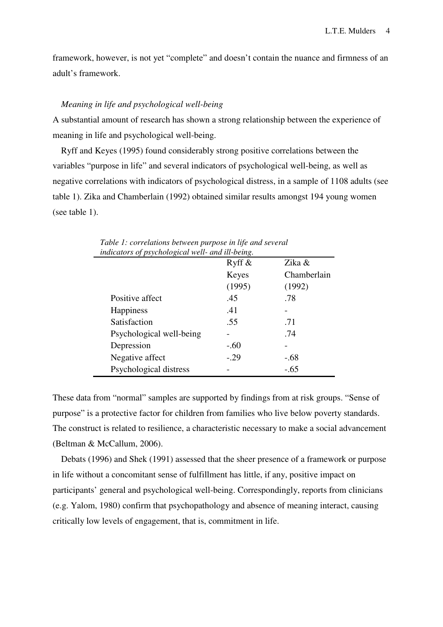framework, however, is not yet "complete" and doesn't contain the nuance and firmness of an adult's framework.

## *Meaning in life and psychological well-being*

A substantial amount of research has shown a strong relationship between the experience of meaning in life and psychological well-being.

Ryff and Keyes (1995) found considerably strong positive correlations between the variables "purpose in life" and several indicators of psychological well-being, as well as negative correlations with indicators of psychological distress, in a sample of 1108 adults (see table 1). Zika and Chamberlain (1992) obtained similar results amongst 194 young women (see table 1).

| indicators of psychological well- and ill-being. |           |             |  |  |  |  |  |
|--------------------------------------------------|-----------|-------------|--|--|--|--|--|
|                                                  | Ryff $\&$ | Zika &      |  |  |  |  |  |
|                                                  | Keyes     | Chamberlain |  |  |  |  |  |
|                                                  | (1995)    | (1992)      |  |  |  |  |  |
| Positive affect                                  | .45       | .78         |  |  |  |  |  |
| <b>Happiness</b>                                 | .41       |             |  |  |  |  |  |
| Satisfaction                                     | .55       | .71         |  |  |  |  |  |
| Psychological well-being                         |           | .74         |  |  |  |  |  |
| Depression                                       | $-.60$    |             |  |  |  |  |  |
| Negative affect                                  | $-29$     | $-.68$      |  |  |  |  |  |
| Psychological distress                           |           | $-.65$      |  |  |  |  |  |
|                                                  |           |             |  |  |  |  |  |

*Table 1: correlations between purpose in life and several indicators of psychological well- and ill-being.* 

These data from "normal" samples are supported by findings from at risk groups. "Sense of purpose" is a protective factor for children from families who live below poverty standards. The construct is related to resilience, a characteristic necessary to make a social advancement (Beltman & McCallum, 2006).

Debats (1996) and Shek (1991) assessed that the sheer presence of a framework or purpose in life without a concomitant sense of fulfillment has little, if any, positive impact on participants' general and psychological well-being. Correspondingly, reports from clinicians (e.g. Yalom, 1980) confirm that psychopathology and absence of meaning interact, causing critically low levels of engagement, that is, commitment in life.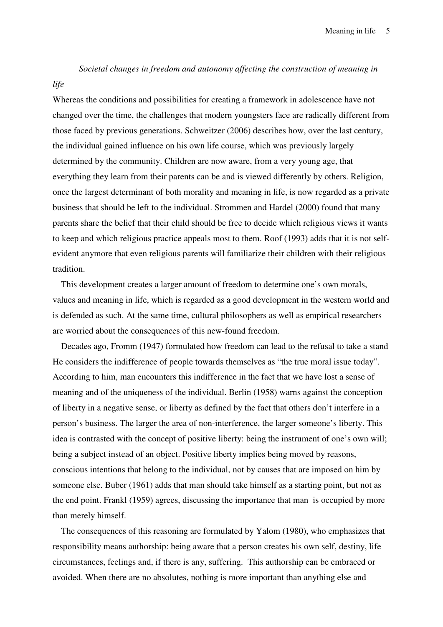*Societal changes in freedom and autonomy affecting the construction of meaning in* 

*life* 

# Whereas the conditions and possibilities for creating a framework in adolescence have not changed over the time, the challenges that modern youngsters face are radically different from those faced by previous generations. Schweitzer (2006) describes how, over the last century, the individual gained influence on his own life course, which was previously largely determined by the community. Children are now aware, from a very young age, that everything they learn from their parents can be and is viewed differently by others. Religion, once the largest determinant of both morality and meaning in life, is now regarded as a private business that should be left to the individual. Strommen and Hardel (2000) found that many parents share the belief that their child should be free to decide which religious views it wants to keep and which religious practice appeals most to them. Roof (1993) adds that it is not selfevident anymore that even religious parents will familiarize their children with their religious tradition.

This development creates a larger amount of freedom to determine one's own morals, values and meaning in life, which is regarded as a good development in the western world and is defended as such. At the same time, cultural philosophers as well as empirical researchers are worried about the consequences of this new-found freedom.

Decades ago, Fromm (1947) formulated how freedom can lead to the refusal to take a stand He considers the indifference of people towards themselves as "the true moral issue today". According to him, man encounters this indifference in the fact that we have lost a sense of meaning and of the uniqueness of the individual. Berlin (1958) warns against the conception of liberty in a negative sense, or liberty as defined by the fact that others don't interfere in a person's business. The larger the area of non-interference, the larger someone's liberty. This idea is contrasted with the concept of positive liberty: being the instrument of one's own will; being a subject instead of an object. Positive liberty implies being moved by reasons, conscious intentions that belong to the individual, not by causes that are imposed on him by someone else. Buber (1961) adds that man should take himself as a starting point, but not as the end point. Frankl (1959) agrees, discussing the importance that man is occupied by more than merely himself.

The consequences of this reasoning are formulated by Yalom (1980), who emphasizes that responsibility means authorship: being aware that a person creates his own self, destiny, life circumstances, feelings and, if there is any, suffering. This authorship can be embraced or avoided. When there are no absolutes, nothing is more important than anything else and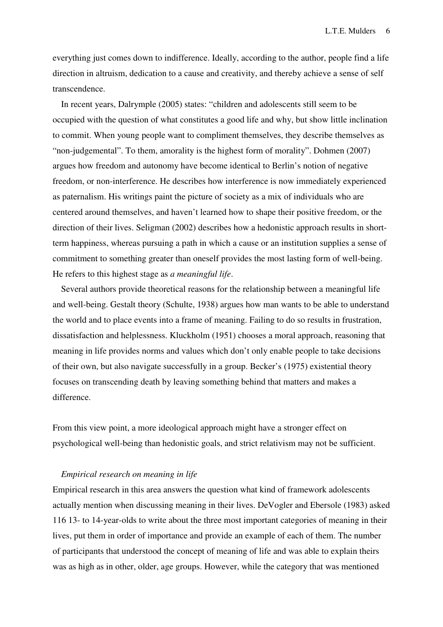everything just comes down to indifference. Ideally, according to the author, people find a life direction in altruism, dedication to a cause and creativity, and thereby achieve a sense of self transcendence.

In recent years, Dalrymple (2005) states: "children and adolescents still seem to be occupied with the question of what constitutes a good life and why, but show little inclination to commit. When young people want to compliment themselves, they describe themselves as "non-judgemental". To them, amorality is the highest form of morality". Dohmen (2007) argues how freedom and autonomy have become identical to Berlin's notion of negative freedom, or non-interference. He describes how interference is now immediately experienced as paternalism. His writings paint the picture of society as a mix of individuals who are centered around themselves, and haven't learned how to shape their positive freedom, or the direction of their lives. Seligman (2002) describes how a hedonistic approach results in shortterm happiness, whereas pursuing a path in which a cause or an institution supplies a sense of commitment to something greater than oneself provides the most lasting form of well-being. He refers to this highest stage as *a meaningful life*.

Several authors provide theoretical reasons for the relationship between a meaningful life and well-being. Gestalt theory (Schulte, 1938) argues how man wants to be able to understand the world and to place events into a frame of meaning. Failing to do so results in frustration, dissatisfaction and helplessness. Kluckholm (1951) chooses a moral approach, reasoning that meaning in life provides norms and values which don't only enable people to take decisions of their own, but also navigate successfully in a group. Becker's (1975) existential theory focuses on transcending death by leaving something behind that matters and makes a difference.

From this view point, a more ideological approach might have a stronger effect on psychological well-being than hedonistic goals, and strict relativism may not be sufficient.

#### *Empirical research on meaning in life*

Empirical research in this area answers the question what kind of framework adolescents actually mention when discussing meaning in their lives. DeVogler and Ebersole (1983) asked 116 13- to 14-year-olds to write about the three most important categories of meaning in their lives, put them in order of importance and provide an example of each of them. The number of participants that understood the concept of meaning of life and was able to explain theirs was as high as in other, older, age groups. However, while the category that was mentioned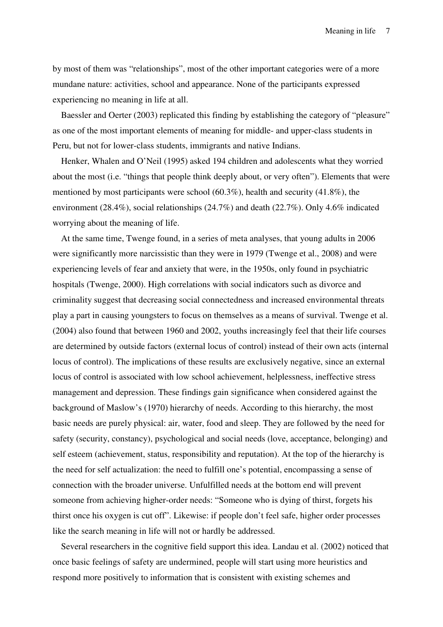by most of them was "relationships", most of the other important categories were of a more mundane nature: activities, school and appearance. None of the participants expressed experiencing no meaning in life at all.

Baessler and Oerter (2003) replicated this finding by establishing the category of "pleasure" as one of the most important elements of meaning for middle- and upper-class students in Peru, but not for lower-class students, immigrants and native Indians.

Henker, Whalen and O'Neil (1995) asked 194 children and adolescents what they worried about the most (i.e. "things that people think deeply about, or very often"). Elements that were mentioned by most participants were school  $(60.3\%)$ , health and security  $(41.8\%)$ , the environment (28.4%), social relationships (24.7%) and death (22.7%). Only 4.6% indicated worrying about the meaning of life.

At the same time, Twenge found, in a series of meta analyses, that young adults in 2006 were significantly more narcissistic than they were in 1979 (Twenge et al., 2008) and were experiencing levels of fear and anxiety that were, in the 1950s, only found in psychiatric hospitals (Twenge, 2000). High correlations with social indicators such as divorce and criminality suggest that decreasing social connectedness and increased environmental threats play a part in causing youngsters to focus on themselves as a means of survival. Twenge et al. (2004) also found that between 1960 and 2002, youths increasingly feel that their life courses are determined by outside factors (external locus of control) instead of their own acts (internal locus of control). The implications of these results are exclusively negative, since an external locus of control is associated with low school achievement, helplessness, ineffective stress management and depression. These findings gain significance when considered against the background of Maslow's (1970) hierarchy of needs. According to this hierarchy, the most basic needs are purely physical: air, water, food and sleep. They are followed by the need for safety (security, constancy), psychological and social needs (love, acceptance, belonging) and self esteem (achievement, status, responsibility and reputation). At the top of the hierarchy is the need for self actualization: the need to fulfill one's potential, encompassing a sense of connection with the broader universe. Unfulfilled needs at the bottom end will prevent someone from achieving higher-order needs: "Someone who is dying of thirst, forgets his thirst once his oxygen is cut off". Likewise: if people don't feel safe, higher order processes like the search meaning in life will not or hardly be addressed.

Several researchers in the cognitive field support this idea. Landau et al. (2002) noticed that once basic feelings of safety are undermined, people will start using more heuristics and respond more positively to information that is consistent with existing schemes and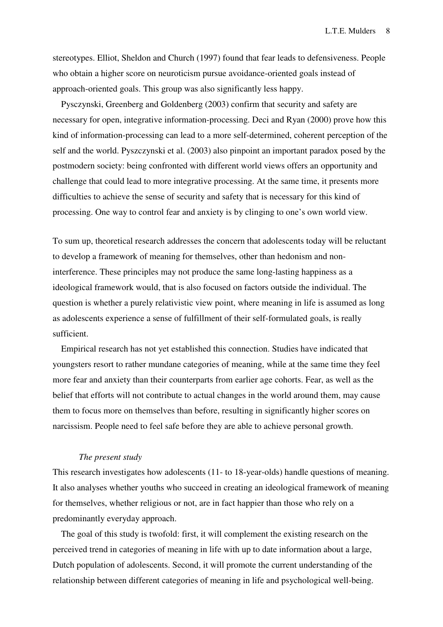stereotypes. Elliot, Sheldon and Church (1997) found that fear leads to defensiveness. People who obtain a higher score on neuroticism pursue avoidance-oriented goals instead of approach-oriented goals. This group was also significantly less happy.

Pysczynski, Greenberg and Goldenberg (2003) confirm that security and safety are necessary for open, integrative information-processing. Deci and Ryan (2000) prove how this kind of information-processing can lead to a more self-determined, coherent perception of the self and the world. Pyszczynski et al. (2003) also pinpoint an important paradox posed by the postmodern society: being confronted with different world views offers an opportunity and challenge that could lead to more integrative processing. At the same time, it presents more difficulties to achieve the sense of security and safety that is necessary for this kind of processing. One way to control fear and anxiety is by clinging to one's own world view.

To sum up, theoretical research addresses the concern that adolescents today will be reluctant to develop a framework of meaning for themselves, other than hedonism and noninterference. These principles may not produce the same long-lasting happiness as a ideological framework would, that is also focused on factors outside the individual. The question is whether a purely relativistic view point, where meaning in life is assumed as long as adolescents experience a sense of fulfillment of their self-formulated goals, is really sufficient.

Empirical research has not yet established this connection. Studies have indicated that youngsters resort to rather mundane categories of meaning, while at the same time they feel more fear and anxiety than their counterparts from earlier age cohorts. Fear, as well as the belief that efforts will not contribute to actual changes in the world around them, may cause them to focus more on themselves than before, resulting in significantly higher scores on narcissism. People need to feel safe before they are able to achieve personal growth.

#### *The present study*

This research investigates how adolescents (11- to 18-year-olds) handle questions of meaning. It also analyses whether youths who succeed in creating an ideological framework of meaning for themselves, whether religious or not, are in fact happier than those who rely on a predominantly everyday approach.

The goal of this study is twofold: first, it will complement the existing research on the perceived trend in categories of meaning in life with up to date information about a large, Dutch population of adolescents. Second, it will promote the current understanding of the relationship between different categories of meaning in life and psychological well-being.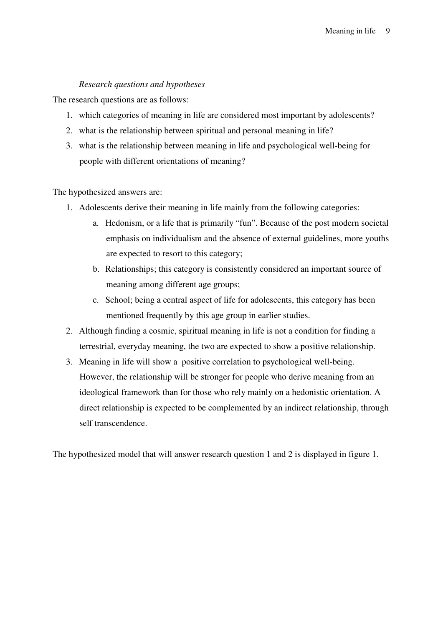# *Research questions and hypotheses*

The research questions are as follows:

- 1. which categories of meaning in life are considered most important by adolescents?
- 2. what is the relationship between spiritual and personal meaning in life?
- 3. what is the relationship between meaning in life and psychological well-being for people with different orientations of meaning?

The hypothesized answers are:

- 1. Adolescents derive their meaning in life mainly from the following categories:
	- a. Hedonism, or a life that is primarily "fun". Because of the post modern societal emphasis on individualism and the absence of external guidelines, more youths are expected to resort to this category;
	- b. Relationships; this category is consistently considered an important source of meaning among different age groups;
	- c. School; being a central aspect of life for adolescents, this category has been mentioned frequently by this age group in earlier studies.
- 2. Although finding a cosmic, spiritual meaning in life is not a condition for finding a terrestrial, everyday meaning, the two are expected to show a positive relationship.
- 3. Meaning in life will show a positive correlation to psychological well-being. However, the relationship will be stronger for people who derive meaning from an ideological framework than for those who rely mainly on a hedonistic orientation. A direct relationship is expected to be complemented by an indirect relationship, through self transcendence.

The hypothesized model that will answer research question 1 and 2 is displayed in figure 1.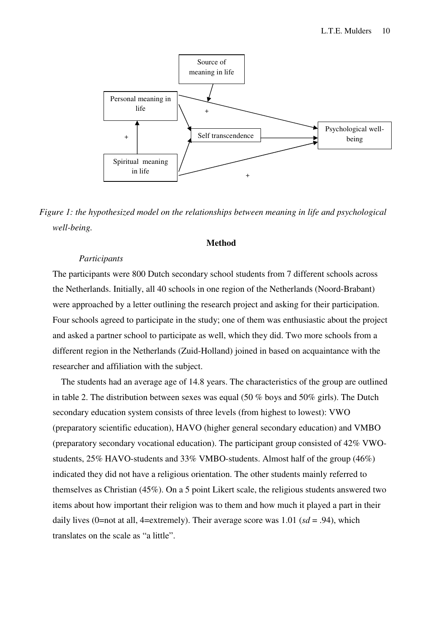

*Figure 1: the hypothesized model on the relationships between meaning in life and psychological well-being.* 

# **Method**

#### *Participants*

The participants were 800 Dutch secondary school students from 7 different schools across the Netherlands. Initially, all 40 schools in one region of the Netherlands (Noord-Brabant) were approached by a letter outlining the research project and asking for their participation. Four schools agreed to participate in the study; one of them was enthusiastic about the project and asked a partner school to participate as well, which they did. Two more schools from a different region in the Netherlands (Zuid-Holland) joined in based on acquaintance with the researcher and affiliation with the subject.

The students had an average age of 14.8 years. The characteristics of the group are outlined in table 2. The distribution between sexes was equal (50 % boys and 50% girls). The Dutch secondary education system consists of three levels (from highest to lowest): VWO (preparatory scientific education), HAVO (higher general secondary education) and VMBO (preparatory secondary vocational education). The participant group consisted of 42% VWOstudents, 25% HAVO-students and 33% VMBO-students. Almost half of the group (46%) indicated they did not have a religious orientation. The other students mainly referred to themselves as Christian (45%). On a 5 point Likert scale, the religious students answered two items about how important their religion was to them and how much it played a part in their daily lives (0=not at all, 4=extremely). Their average score was 1.01 (*sd* = .94), which translates on the scale as "a little".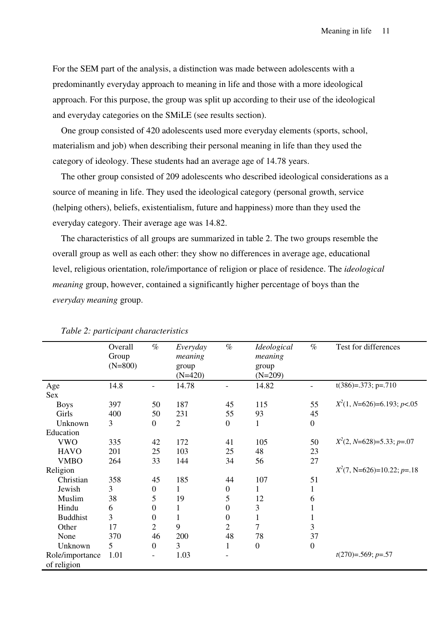For the SEM part of the analysis, a distinction was made between adolescents with a predominantly everyday approach to meaning in life and those with a more ideological approach. For this purpose, the group was split up according to their use of the ideological and everyday categories on the SMiLE (see results section).

One group consisted of 420 adolescents used more everyday elements (sports, school, materialism and job) when describing their personal meaning in life than they used the category of ideology. These students had an average age of 14.78 years.

The other group consisted of 209 adolescents who described ideological considerations as a source of meaning in life. They used the ideological category (personal growth, service (helping others), beliefs, existentialism, future and happiness) more than they used the everyday category. Their average age was 14.82.

The characteristics of all groups are summarized in table 2. The two groups resemble the overall group as well as each other: they show no differences in average age, educational level, religious orientation, role/importance of religion or place of residence. The *ideological meaning* group, however, contained a significantly higher percentage of boys than the *everyday meaning* group.

|                 | Overall<br>Group<br>$(N=800)$ | $\%$                     | Everyday<br>meaning<br>group<br>$(N=420)$ | $\%$             | Ideological<br>meaning<br>group<br>$(N=209)$ | $\%$             | Test for differences          |
|-----------------|-------------------------------|--------------------------|-------------------------------------------|------------------|----------------------------------------------|------------------|-------------------------------|
| Age             | 14.8                          | $\overline{\phantom{0}}$ | 14.78                                     |                  | 14.82                                        |                  | $t(386)=.373$ ; p=.710        |
| Sex             |                               |                          |                                           |                  |                                              |                  |                               |
| <b>Boys</b>     | 397                           | 50                       | 187                                       | 45               | 115                                          | 55               | $X^2(1, N=626)=6.193; p<.05$  |
| Girls           | 400                           | 50                       | 231                                       | 55               | 93                                           | 45               |                               |
| Unknown         | 3                             | $\boldsymbol{0}$         | $\mathbf{2}$                              | $\boldsymbol{0}$ | 1                                            | $\boldsymbol{0}$ |                               |
| Education       |                               |                          |                                           |                  |                                              |                  |                               |
| <b>VWO</b>      | 335                           | 42                       | 172                                       | 41               | 105                                          | 50               | $X^2(2, N=628)=5.33$ ; p=.07  |
| <b>HAVO</b>     | 201                           | 25                       | 103                                       | 25               | 48                                           | 23               |                               |
| <b>VMBO</b>     | 264                           | 33                       | 144                                       | 34               | 56                                           | 27               |                               |
| Religion        |                               |                          |                                           |                  |                                              |                  | $X^2(7, N=626)=10.22$ ; p=.18 |
| Christian       | 358                           | 45                       | 185                                       | 44               | 107                                          | 51               |                               |
| Jewish          | 3                             | $\boldsymbol{0}$         | 1                                         | $\boldsymbol{0}$ | 1                                            | 1                |                               |
| Muslim          | 38                            | 5                        | 19                                        | 5                | 12                                           | 6                |                               |
| Hindu           | 6                             | $\overline{0}$           | 1                                         | $\overline{0}$   | 3                                            | 1                |                               |
| <b>Buddhist</b> | 3                             | 0                        | $\mathbf{1}$                              | $\boldsymbol{0}$ |                                              | $\mathbf{1}$     |                               |
| Other           | 17                            | $\overline{2}$           | 9                                         | $\overline{2}$   | 7                                            | 3                |                               |
| None            | 370                           | 46                       | 200                                       | 48               | 78                                           | 37               |                               |
| Unknown         | 5                             | $\overline{0}$           | 3                                         | 1                | $\mathbf{0}$                                 | $\boldsymbol{0}$ |                               |
| Role/importance | 1.01                          | $\qquad \qquad -$        | 1.03                                      |                  |                                              |                  | $t(270)=0.569; p=.57$         |
| of religion     |                               |                          |                                           |                  |                                              |                  |                               |

# *Table 2: participant characteristics*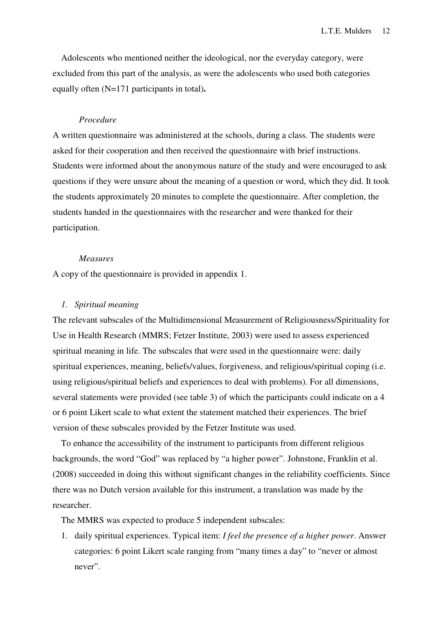Adolescents who mentioned neither the ideological, nor the everyday category, were excluded from this part of the analysis, as were the adolescents who used both categories equally often (N=171 participants in total)**.** 

# *Procedure*

A written questionnaire was administered at the schools, during a class. The students were asked for their cooperation and then received the questionnaire with brief instructions. Students were informed about the anonymous nature of the study and were encouraged to ask questions if they were unsure about the meaning of a question or word, which they did. It took the students approximately 20 minutes to complete the questionnaire. After completion, the students handed in the questionnaires with the researcher and were thanked for their participation.

# *Measures*

A copy of the questionnaire is provided in appendix 1.

# *1. Spiritual meaning*

The relevant subscales of the Multidimensional Measurement of Religiousness/Spirituality for Use in Health Research (MMRS; Fetzer Institute, 2003) were used to assess experienced spiritual meaning in life. The subscales that were used in the questionnaire were: daily spiritual experiences, meaning, beliefs/values, forgiveness, and religious/spiritual coping (i.e. using religious/spiritual beliefs and experiences to deal with problems). For all dimensions, several statements were provided (see table 3) of which the participants could indicate on a 4 or 6 point Likert scale to what extent the statement matched their experiences. The brief version of these subscales provided by the Fetzer Institute was used.

To enhance the accessibility of the instrument to participants from different religious backgrounds, the word "God" was replaced by "a higher power". Johnstone, Franklin et al. (2008) succeeded in doing this without significant changes in the reliability coefficients. Since there was no Dutch version available for this instrument, a translation was made by the researcher.

The MMRS was expected to produce 5 independent subscales:

1. daily spiritual experiences. Typical item: *I feel the presence of a higher power*. Answer categories: 6 point Likert scale ranging from "many times a day" to "never or almost never".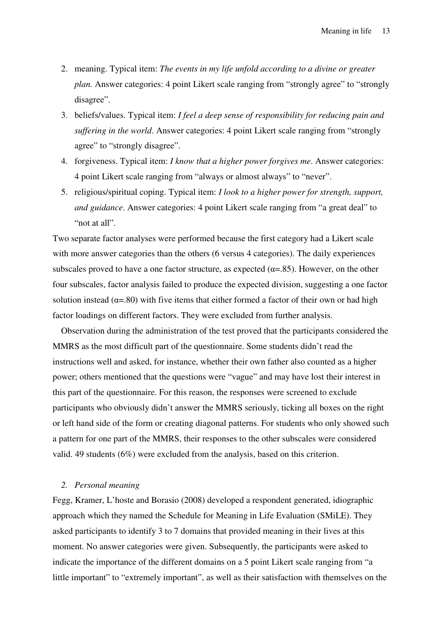- 2. meaning. Typical item: *The events in my life unfold according to a divine or greater plan.* Answer categories: 4 point Likert scale ranging from "strongly agree" to "strongly disagree".
- 3. beliefs/values. Typical item: *I feel a deep sense of responsibility for reducing pain and suffering in the world*. Answer categories: 4 point Likert scale ranging from "strongly agree" to "strongly disagree".
- 4. forgiveness. Typical item: *I know that a higher power forgives me*. Answer categories: 4 point Likert scale ranging from "always or almost always" to "never".
- 5. religious/spiritual coping. Typical item: *I look to a higher power for strength, support, and guidance*. Answer categories: 4 point Likert scale ranging from "a great deal" to "not at all".

Two separate factor analyses were performed because the first category had a Likert scale with more answer categories than the others (6 versus 4 categories). The daily experiences subscales proved to have a one factor structure, as expected  $(\alpha=85)$ . However, on the other four subscales, factor analysis failed to produce the expected division, suggesting a one factor solution instead  $(\alpha = 80)$  with five items that either formed a factor of their own or had high factor loadings on different factors. They were excluded from further analysis.

Observation during the administration of the test proved that the participants considered the MMRS as the most difficult part of the questionnaire. Some students didn't read the instructions well and asked, for instance, whether their own father also counted as a higher power; others mentioned that the questions were "vague" and may have lost their interest in this part of the questionnaire. For this reason, the responses were screened to exclude participants who obviously didn't answer the MMRS seriously, ticking all boxes on the right or left hand side of the form or creating diagonal patterns. For students who only showed such a pattern for one part of the MMRS, their responses to the other subscales were considered valid. 49 students (6%) were excluded from the analysis, based on this criterion.

# *2. Personal meaning*

Fegg, Kramer, L'hoste and Borasio (2008) developed a respondent generated, idiographic approach which they named the Schedule for Meaning in Life Evaluation (SMiLE). They asked participants to identify 3 to 7 domains that provided meaning in their lives at this moment. No answer categories were given. Subsequently, the participants were asked to indicate the importance of the different domains on a 5 point Likert scale ranging from "a little important" to "extremely important", as well as their satisfaction with themselves on the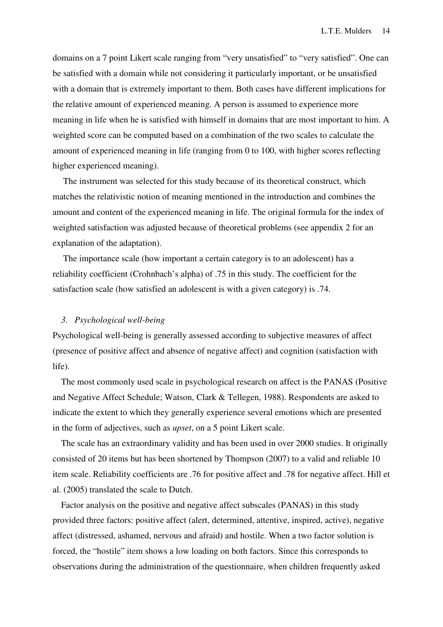domains on a 7 point Likert scale ranging from "very unsatisfied" to "very satisfied". One can be satisfied with a domain while not considering it particularly important, or be unsatisfied with a domain that is extremely important to them. Both cases have different implications for the relative amount of experienced meaning. A person is assumed to experience more meaning in life when he is satisfied with himself in domains that are most important to him. A weighted score can be computed based on a combination of the two scales to calculate the amount of experienced meaning in life (ranging from 0 to 100, with higher scores reflecting higher experienced meaning).

The instrument was selected for this study because of its theoretical construct, which matches the relativistic notion of meaning mentioned in the introduction and combines the amount and content of the experienced meaning in life. The original formula for the index of weighted satisfaction was adjusted because of theoretical problems (see appendix 2 for an explanation of the adaptation).

The importance scale (how important a certain category is to an adolescent) has a reliability coefficient (Crohnbach's alpha) of .75 in this study. The coefficient for the satisfaction scale (how satisfied an adolescent is with a given category) is .74.

#### *3. Psychological well-being*

Psychological well-being is generally assessed according to subjective measures of affect (presence of positive affect and absence of negative affect) and cognition (satisfaction with life).

The most commonly used scale in psychological research on affect is the PANAS (Positive and Negative Affect Schedule; Watson, Clark & Tellegen, 1988). Respondents are asked to indicate the extent to which they generally experience several emotions which are presented in the form of adjectives, such as *upset*, on a 5 point Likert scale.

The scale has an extraordinary validity and has been used in over 2000 studies. It originally consisted of 20 items but has been shortened by Thompson (2007) to a valid and reliable 10 item scale. Reliability coefficients are .76 for positive affect and .78 for negative affect. Hill et al. (2005) translated the scale to Dutch.

Factor analysis on the positive and negative affect subscales (PANAS) in this study provided three factors: positive affect (alert, determined, attentive, inspired, active), negative affect (distressed, ashamed, nervous and afraid) and hostile. When a two factor solution is forced, the "hostile" item shows a low loading on both factors. Since this corresponds to observations during the administration of the questionnaire, when children frequently asked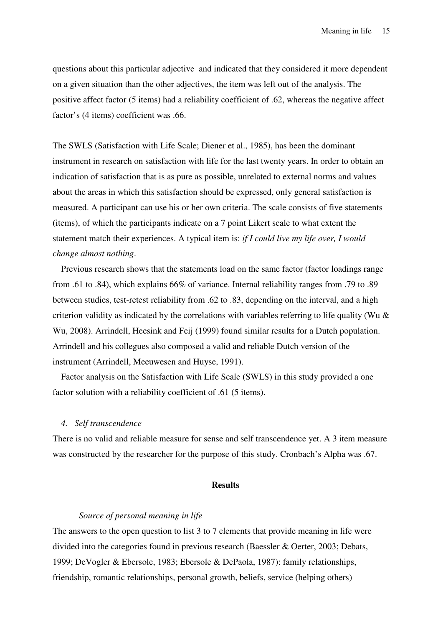questions about this particular adjective and indicated that they considered it more dependent on a given situation than the other adjectives, the item was left out of the analysis. The positive affect factor (5 items) had a reliability coefficient of .62, whereas the negative affect factor's (4 items) coefficient was .66.

The SWLS (Satisfaction with Life Scale; Diener et al., 1985), has been the dominant instrument in research on satisfaction with life for the last twenty years. In order to obtain an indication of satisfaction that is as pure as possible, unrelated to external norms and values about the areas in which this satisfaction should be expressed, only general satisfaction is measured. A participant can use his or her own criteria. The scale consists of five statements (items), of which the participants indicate on a 7 point Likert scale to what extent the statement match their experiences. A typical item is: *if I could live my life over, I would change almost nothing*.

Previous research shows that the statements load on the same factor (factor loadings range from .61 to .84), which explains 66% of variance. Internal reliability ranges from .79 to .89 between studies, test-retest reliability from .62 to .83, depending on the interval, and a high criterion validity as indicated by the correlations with variables referring to life quality (Wu  $\&$ Wu, 2008). Arrindell, Heesink and Feij (1999) found similar results for a Dutch population. Arrindell and his collegues also composed a valid and reliable Dutch version of the instrument (Arrindell, Meeuwesen and Huyse, 1991).

Factor analysis on the Satisfaction with Life Scale (SWLS) in this study provided a one factor solution with a reliability coefficient of .61 (5 items).

## *4. Self transcendence*

There is no valid and reliable measure for sense and self transcendence yet. A 3 item measure was constructed by the researcher for the purpose of this study. Cronbach's Alpha was .67.

# **Results**

#### *Source of personal meaning in life*

The answers to the open question to list 3 to 7 elements that provide meaning in life were divided into the categories found in previous research (Baessler & Oerter, 2003; Debats, 1999; DeVogler & Ebersole, 1983; Ebersole & DePaola, 1987): family relationships, friendship, romantic relationships, personal growth, beliefs, service (helping others)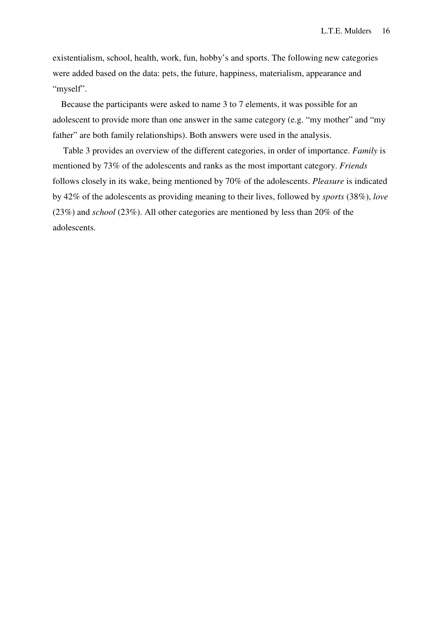existentialism, school, health, work, fun, hobby's and sports. The following new categories were added based on the data: pets, the future, happiness, materialism, appearance and "myself".

Because the participants were asked to name 3 to 7 elements, it was possible for an adolescent to provide more than one answer in the same category (e.g. "my mother" and "my father" are both family relationships). Both answers were used in the analysis.

Table 3 provides an overview of the different categories, in order of importance. *Family* is mentioned by 73% of the adolescents and ranks as the most important category. *Friends* follows closely in its wake, being mentioned by 70% of the adolescents. *Pleasure* is indicated by 42% of the adolescents as providing meaning to their lives, followed by *sports* (38%), *love* (23%) and *school* (23%). All other categories are mentioned by less than 20% of the adolescents.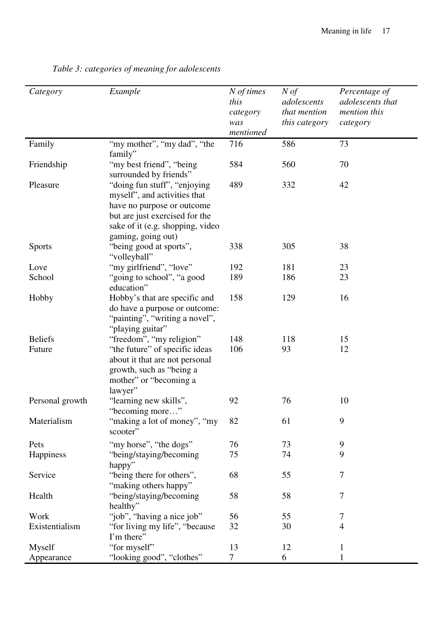| mentioned                                                                                                                                                                                                              |  |
|------------------------------------------------------------------------------------------------------------------------------------------------------------------------------------------------------------------------|--|
| "my mother", "my dad", "the<br>586<br>73<br>Family<br>716                                                                                                                                                              |  |
| family"<br>"my best friend", "being"<br>584<br>560<br>70<br>Friendship<br>surrounded by friends"                                                                                                                       |  |
| Pleasure<br>"doing fun stuff", "enjoying<br>489<br>332<br>42<br>myself", and activities that<br>have no purpose or outcome<br>but are just exercised for the<br>sake of it (e.g. shopping, video<br>gaming, going out) |  |
| "being good at sports",<br>338<br>305<br>38<br><b>Sports</b><br>"volleyball"                                                                                                                                           |  |
| "my girlfriend", "love"<br>192<br>181<br>23<br>Love                                                                                                                                                                    |  |
| "going to school", "a good<br>189<br>186<br>23<br>School<br>education"                                                                                                                                                 |  |
| 158<br>Hobby<br>Hobby's that are specific and<br>129<br>16<br>do have a purpose or outcome:<br>"painting", "writing a novel",<br>"playing guitar"                                                                      |  |
| "freedom", "my religion"<br><b>Beliefs</b><br>148<br>118<br>15                                                                                                                                                         |  |
| 106<br>"the future" of specific ideas<br>93<br>12<br>Future<br>about it that are not personal<br>growth, such as "being a<br>mother" or "becoming a<br>lawyer"                                                         |  |
| "learning new skills",<br>92<br>76<br>10<br>Personal growth<br>"becoming more"                                                                                                                                         |  |
| Materialism<br>'making a lot of money", "my<br>82<br>61<br>9<br>scooter"                                                                                                                                               |  |
| "my horse", "the dogs"<br>73<br>9<br>Pets<br>76                                                                                                                                                                        |  |
| 9<br>"being/staying/becoming<br>75<br>Happiness<br>74<br>happy"                                                                                                                                                        |  |
| "being there for others",<br>68<br>55<br>7<br>Service<br>"making others happy"                                                                                                                                         |  |
| "being/staying/becoming<br>58<br>58<br>7<br>Health<br>healthy"                                                                                                                                                         |  |
| 55<br>"job", "having a nice job"<br>56<br>7<br>Work                                                                                                                                                                    |  |
| Existentialism<br>"for living my life", "because"<br>32<br>4<br>30<br>I'm there"                                                                                                                                       |  |
| "for myself"<br>13<br>Myself<br>12<br>$\mathbf{1}$                                                                                                                                                                     |  |
| "looking good", "clothes"<br>$\tau$<br>6<br>Appearance<br>1                                                                                                                                                            |  |

*Table 3: categories of meaning for adolescents*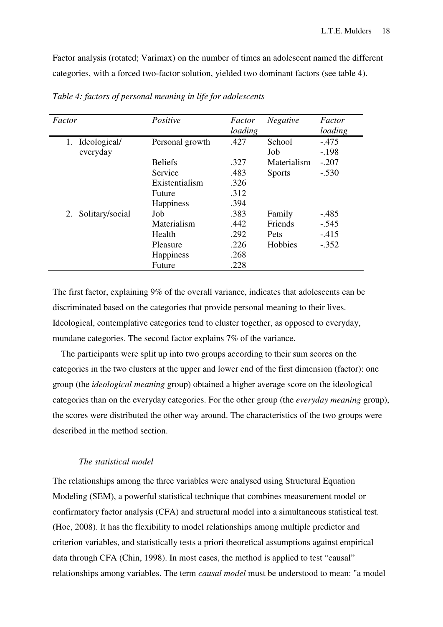Factor analysis (rotated; Varimax) on the number of times an adolescent named the different categories, with a forced two-factor solution, yielded two dominant factors (see table 4).

| Factor                | Positive         | Factor  | <b>Negative</b> | Factor  |
|-----------------------|------------------|---------|-----------------|---------|
|                       |                  | loading |                 | loading |
| Ideological/<br>1.    | Personal growth  | .427    | School          | $-475$  |
| everyday              |                  |         | Job             | $-.198$ |
|                       | <b>Beliefs</b>   | .327    | Materialism     | $-.207$ |
|                       | Service          | .483    | <b>Sports</b>   | $-.530$ |
|                       | Existentialism   | .326    |                 |         |
|                       | Future           | .312    |                 |         |
|                       | <b>Happiness</b> | .394    |                 |         |
| Solitary/social<br>2. | Job              | .383    | Family          | $-.485$ |
|                       | Materialism      | .442    | Friends         | $-.545$ |
|                       | Health           | .292    | Pets            | $-415$  |
|                       | Pleasure         | .226    | Hobbies         | $-.352$ |
|                       | <b>Happiness</b> | .268    |                 |         |
|                       | Future           | .228    |                 |         |

*Table 4: factors of personal meaning in life for adolescents* 

The first factor, explaining 9% of the overall variance, indicates that adolescents can be discriminated based on the categories that provide personal meaning to their lives. Ideological, contemplative categories tend to cluster together, as opposed to everyday, mundane categories. The second factor explains 7% of the variance.

The participants were split up into two groups according to their sum scores on the categories in the two clusters at the upper and lower end of the first dimension (factor): one group (the *ideological meaning* group) obtained a higher average score on the ideological categories than on the everyday categories. For the other group (the *everyday meaning* group), the scores were distributed the other way around. The characteristics of the two groups were described in the method section.

## *The statistical model*

The relationships among the three variables were analysed using Structural Equation Modeling (SEM), a powerful statistical technique that combines measurement model or confirmatory factor analysis (CFA) and structural model into a simultaneous statistical test. (Hoe, 2008). It has the flexibility to model relationships among multiple predictor and criterion variables, and statistically tests a priori theoretical assumptions against empirical data through CFA (Chin, 1998). In most cases, the method is applied to test "causal" relationships among variables. The term *causal model* must be understood to mean: "a model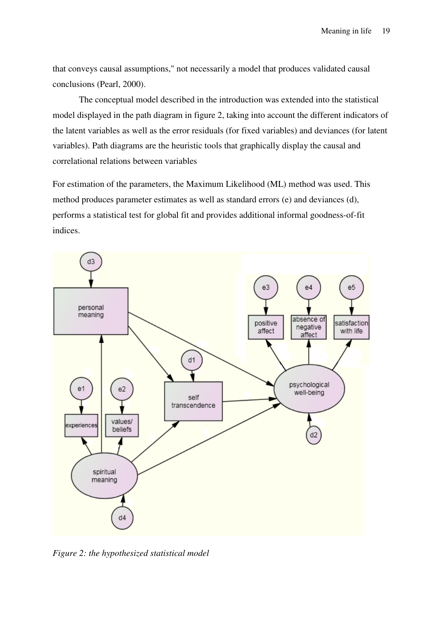that conveys causal assumptions," not necessarily a model that produces validated causal conclusions (Pearl, 2000).

The conceptual model described in the introduction was extended into the statistical model displayed in the path diagram in figure 2, taking into account the different indicators of the latent variables as well as the error residuals (for fixed variables) and deviances (for latent variables). Path diagrams are the heuristic tools that graphically display the causal and correlational relations between variables

For estimation of the parameters, the Maximum Likelihood (ML) method was used. This method produces parameter estimates as well as standard errors (e) and deviances (d), performs a statistical test for global fit and provides additional informal goodness-of-fit indices.



*Figure 2: the hypothesized statistical model*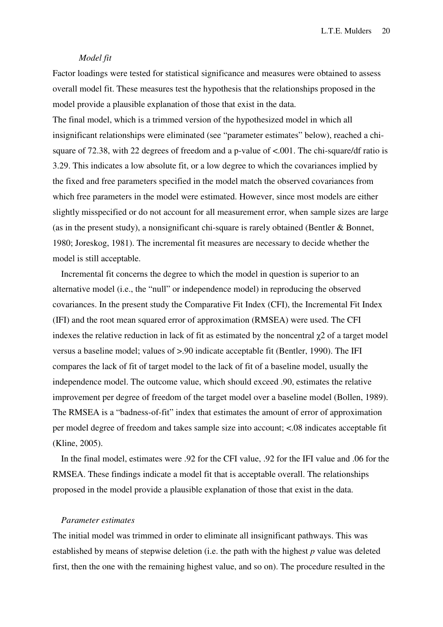L.T.E. Mulders 20

# *Model fit*

Factor loadings were tested for statistical significance and measures were obtained to assess overall model fit. These measures test the hypothesis that the relationships proposed in the model provide a plausible explanation of those that exist in the data.

The final model, which is a trimmed version of the hypothesized model in which all insignificant relationships were eliminated (see "parameter estimates" below), reached a chisquare of 72.38, with 22 degrees of freedom and a p-value of <.001. The chi-square/df ratio is 3.29. This indicates a low absolute fit, or a low degree to which the covariances implied by the fixed and free parameters specified in the model match the observed covariances from which free parameters in the model were estimated. However, since most models are either slightly misspecified or do not account for all measurement error, when sample sizes are large (as in the present study), a nonsignificant chi-square is rarely obtained (Bentler & Bonnet, 1980; Joreskog, 1981). The incremental fit measures are necessary to decide whether the model is still acceptable.

Incremental fit concerns the degree to which the model in question is superior to an alternative model (i.e., the "null" or independence model) in reproducing the observed covariances. In the present study the Comparative Fit Index (CFI), the Incremental Fit Index (IFI) and the root mean squared error of approximation (RMSEA) were used. The CFI indexes the relative reduction in lack of fit as estimated by the noncentral  $\chi$ 2 of a target model versus a baseline model; values of >.90 indicate acceptable fit (Bentler, 1990). The IFI compares the lack of fit of target model to the lack of fit of a baseline model, usually the independence model. The outcome value, which should exceed .90, estimates the relative improvement per degree of freedom of the target model over a baseline model (Bollen, 1989). The RMSEA is a "badness-of-fit" index that estimates the amount of error of approximation per model degree of freedom and takes sample size into account; <.08 indicates acceptable fit (Kline, 2005).

In the final model, estimates were .92 for the CFI value, .92 for the IFI value and .06 for the RMSEA. These findings indicate a model fit that is acceptable overall. The relationships proposed in the model provide a plausible explanation of those that exist in the data.

#### *Parameter estimates*

The initial model was trimmed in order to eliminate all insignificant pathways. This was established by means of stepwise deletion (i.e. the path with the highest *p* value was deleted first, then the one with the remaining highest value, and so on). The procedure resulted in the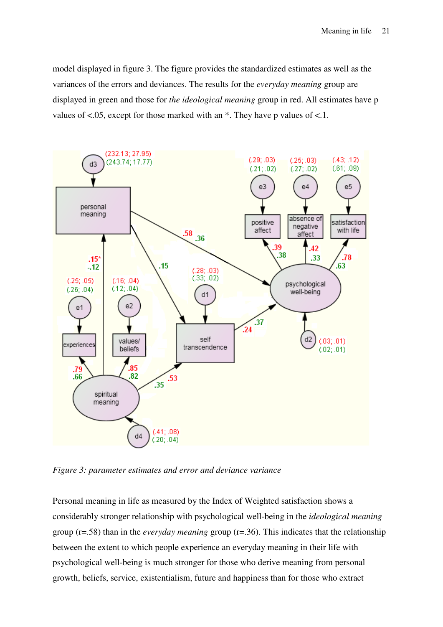model displayed in figure 3. The figure provides the standardized estimates as well as the variances of the errors and deviances. The results for the *everyday meaning* group are displayed in green and those for *the ideological meaning* group in red. All estimates have p values of  $\lt$ .05, except for those marked with an  $*$ . They have p values of  $\lt$ .1.



*Figure 3: parameter estimates and error and deviance variance* 

Personal meaning in life as measured by the Index of Weighted satisfaction shows a considerably stronger relationship with psychological well-being in the *ideological meaning*  group (r=.58) than in the *everyday meaning* group (r=.36). This indicates that the relationship between the extent to which people experience an everyday meaning in their life with psychological well-being is much stronger for those who derive meaning from personal growth, beliefs, service, existentialism, future and happiness than for those who extract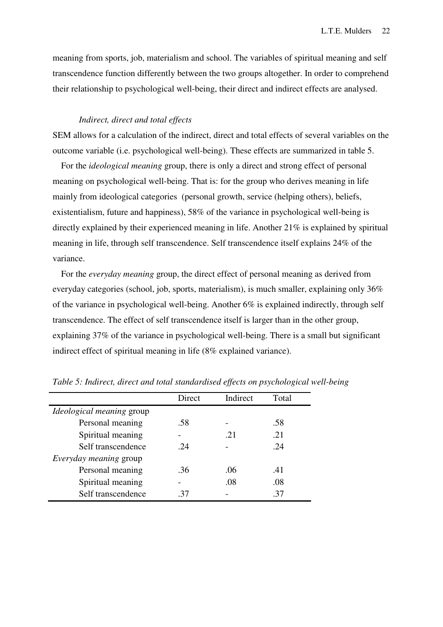meaning from sports, job, materialism and school. The variables of spiritual meaning and self transcendence function differently between the two groups altogether. In order to comprehend their relationship to psychological well-being, their direct and indirect effects are analysed.

# *Indirect, direct and total effects*

SEM allows for a calculation of the indirect, direct and total effects of several variables on the outcome variable (i.e. psychological well-being). These effects are summarized in table 5.

For the *ideological meaning* group, there is only a direct and strong effect of personal meaning on psychological well-being. That is: for the group who derives meaning in life mainly from ideological categories (personal growth, service (helping others), beliefs, existentialism, future and happiness), 58% of the variance in psychological well-being is directly explained by their experienced meaning in life. Another  $21\%$  is explained by spiritual meaning in life, through self transcendence. Self transcendence itself explains 24% of the variance.

For the *everyday meaning* group, the direct effect of personal meaning as derived from everyday categories (school, job, sports, materialism), is much smaller, explaining only 36% of the variance in psychological well-being. Another 6% is explained indirectly, through self transcendence. The effect of self transcendence itself is larger than in the other group, explaining 37% of the variance in psychological well-being. There is a small but significant indirect effect of spiritual meaning in life (8% explained variance).

|                                  | Direct | Indirect | Total |
|----------------------------------|--------|----------|-------|
| <i>Ideological meaning group</i> |        |          |       |
| Personal meaning                 | .58    |          | .58   |
| Spiritual meaning                |        | .21      | .21   |
| Self transcendence               | .24    |          | .24   |
| Everyday meaning group           |        |          |       |
| Personal meaning                 | .36    | .06      | .41   |
| Spiritual meaning                |        | .08      | .08   |
| Self transcendence               | .37    |          | .37   |

*Table 5: Indirect, direct and total standardised effects on psychological well-being*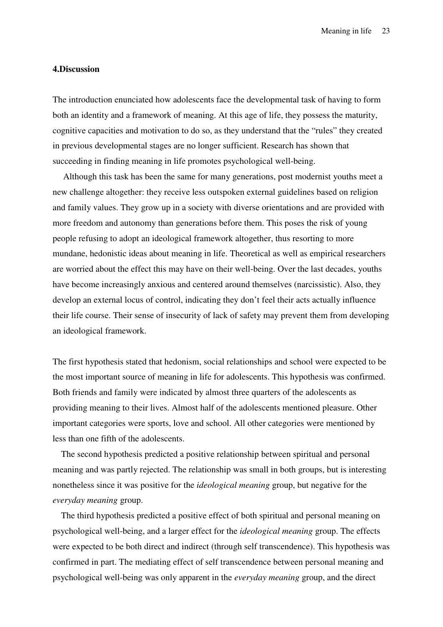Meaning in life 23

# **4.Discussion**

The introduction enunciated how adolescents face the developmental task of having to form both an identity and a framework of meaning. At this age of life, they possess the maturity, cognitive capacities and motivation to do so, as they understand that the "rules" they created in previous developmental stages are no longer sufficient. Research has shown that succeeding in finding meaning in life promotes psychological well-being.

Although this task has been the same for many generations, post modernist youths meet a new challenge altogether: they receive less outspoken external guidelines based on religion and family values. They grow up in a society with diverse orientations and are provided with more freedom and autonomy than generations before them. This poses the risk of young people refusing to adopt an ideological framework altogether, thus resorting to more mundane, hedonistic ideas about meaning in life. Theoretical as well as empirical researchers are worried about the effect this may have on their well-being. Over the last decades, youths have become increasingly anxious and centered around themselves (narcissistic). Also, they develop an external locus of control, indicating they don't feel their acts actually influence their life course. Their sense of insecurity of lack of safety may prevent them from developing an ideological framework.

The first hypothesis stated that hedonism, social relationships and school were expected to be the most important source of meaning in life for adolescents. This hypothesis was confirmed. Both friends and family were indicated by almost three quarters of the adolescents as providing meaning to their lives. Almost half of the adolescents mentioned pleasure. Other important categories were sports, love and school. All other categories were mentioned by less than one fifth of the adolescents.

The second hypothesis predicted a positive relationship between spiritual and personal meaning and was partly rejected. The relationship was small in both groups, but is interesting nonetheless since it was positive for the *ideological meaning* group, but negative for the *everyday meaning* group.

The third hypothesis predicted a positive effect of both spiritual and personal meaning on psychological well-being, and a larger effect for the *ideological meaning* group. The effects were expected to be both direct and indirect (through self transcendence). This hypothesis was confirmed in part. The mediating effect of self transcendence between personal meaning and psychological well-being was only apparent in the *everyday meaning* group, and the direct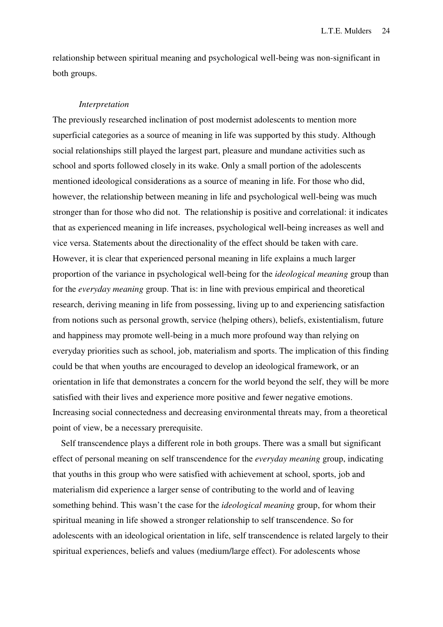relationship between spiritual meaning and psychological well-being was non-significant in both groups.

#### *Interpretation*

The previously researched inclination of post modernist adolescents to mention more superficial categories as a source of meaning in life was supported by this study. Although social relationships still played the largest part, pleasure and mundane activities such as school and sports followed closely in its wake. Only a small portion of the adolescents mentioned ideological considerations as a source of meaning in life. For those who did, however, the relationship between meaning in life and psychological well-being was much stronger than for those who did not. The relationship is positive and correlational: it indicates that as experienced meaning in life increases, psychological well-being increases as well and vice versa. Statements about the directionality of the effect should be taken with care. However, it is clear that experienced personal meaning in life explains a much larger proportion of the variance in psychological well-being for the *ideological meaning* group than for the *everyday meaning* group. That is: in line with previous empirical and theoretical research, deriving meaning in life from possessing, living up to and experiencing satisfaction from notions such as personal growth, service (helping others), beliefs, existentialism, future and happiness may promote well-being in a much more profound way than relying on everyday priorities such as school, job, materialism and sports. The implication of this finding could be that when youths are encouraged to develop an ideological framework, or an orientation in life that demonstrates a concern for the world beyond the self, they will be more satisfied with their lives and experience more positive and fewer negative emotions. Increasing social connectedness and decreasing environmental threats may, from a theoretical point of view, be a necessary prerequisite.

Self transcendence plays a different role in both groups. There was a small but significant effect of personal meaning on self transcendence for the *everyday meaning* group, indicating that youths in this group who were satisfied with achievement at school, sports, job and materialism did experience a larger sense of contributing to the world and of leaving something behind. This wasn't the case for the *ideological meaning* group, for whom their spiritual meaning in life showed a stronger relationship to self transcendence. So for adolescents with an ideological orientation in life, self transcendence is related largely to their spiritual experiences, beliefs and values (medium/large effect). For adolescents whose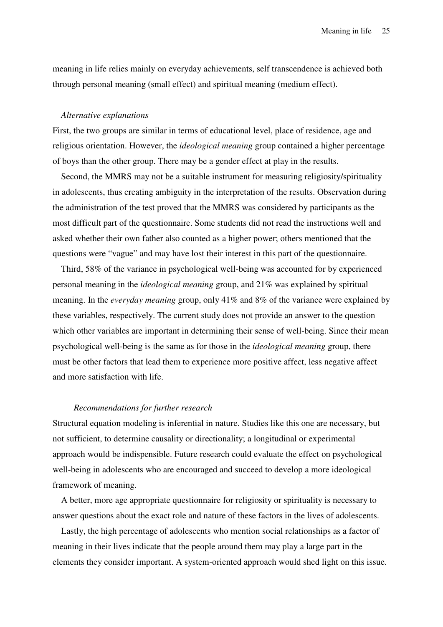meaning in life relies mainly on everyday achievements, self transcendence is achieved both through personal meaning (small effect) and spiritual meaning (medium effect).

#### *Alternative explanations*

First, the two groups are similar in terms of educational level, place of residence, age and religious orientation. However, the *ideological meaning* group contained a higher percentage of boys than the other group. There may be a gender effect at play in the results.

Second, the MMRS may not be a suitable instrument for measuring religiosity/spirituality in adolescents, thus creating ambiguity in the interpretation of the results. Observation during the administration of the test proved that the MMRS was considered by participants as the most difficult part of the questionnaire. Some students did not read the instructions well and asked whether their own father also counted as a higher power; others mentioned that the questions were "vague" and may have lost their interest in this part of the questionnaire.

Third, 58% of the variance in psychological well-being was accounted for by experienced personal meaning in the *ideological meaning* group, and 21% was explained by spiritual meaning. In the *everyday meaning* group, only 41% and 8% of the variance were explained by these variables, respectively. The current study does not provide an answer to the question which other variables are important in determining their sense of well-being. Since their mean psychological well-being is the same as for those in the *ideological meaning* group, there must be other factors that lead them to experience more positive affect, less negative affect and more satisfaction with life.

#### *Recommendations for further research*

Structural equation modeling is inferential in nature. Studies like this one are necessary, but not sufficient, to determine causality or directionality; a longitudinal or experimental approach would be indispensible. Future research could evaluate the effect on psychological well-being in adolescents who are encouraged and succeed to develop a more ideological framework of meaning.

A better, more age appropriate questionnaire for religiosity or spirituality is necessary to answer questions about the exact role and nature of these factors in the lives of adolescents.

Lastly, the high percentage of adolescents who mention social relationships as a factor of meaning in their lives indicate that the people around them may play a large part in the elements they consider important. A system-oriented approach would shed light on this issue.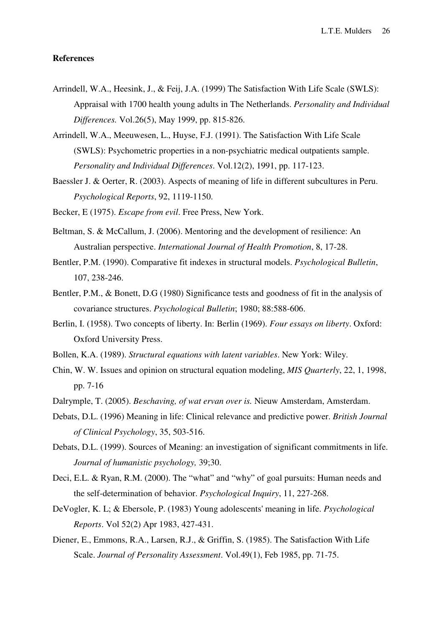# **References**

- Arrindell, W.A., Heesink, J., & Feij, J.A. (1999) The Satisfaction With Life Scale (SWLS): Appraisal with 1700 health young adults in The Netherlands. *Personality and Individual Differences.* Vol.26(5), May 1999, pp. 815-826.
- Arrindell, W.A., Meeuwesen, L., Huyse, F.J. (1991). The Satisfaction With Life Scale (SWLS): Psychometric properties in a non-psychiatric medical outpatients sample. *Personality and Individual Differences*. Vol.12(2), 1991, pp. 117-123.
- Baessler J. & Oerter, R. (2003). Aspects of meaning of life in different subcultures in Peru. *Psychological Reports*, 92, 1119-1150.
- Becker, E (1975). *Escape from evil*. Free Press, New York.
- Beltman, S. & McCallum, J. (2006). Mentoring and the development of resilience: An Australian perspective. *International Journal of Health Promotion*, 8, 17-28.
- Bentler, P.M. (1990). Comparative fit indexes in structural models. *Psychological Bulletin*, 107, 238-246.
- Bentler, P.M., & Bonett, D.G (1980) Significance tests and goodness of fit in the analysis of covariance structures. *Psychological Bulletin*; 1980; 88:588-606.
- Berlin, I. (1958). Two concepts of liberty. In: Berlin (1969). *Four essays on liberty*. Oxford: Oxford University Press.
- Bollen, K.A. (1989). *Structural equations with latent variables*. New York: Wiley.
- Chin, W. W. Issues and opinion on structural equation modeling, *MIS Quarterly*, 22, 1, 1998, pp. 7-16
- Dalrymple, T. (2005). *Beschaving, of wat ervan over is.* Nieuw Amsterdam, Amsterdam.
- Debats, D.L. (1996) Meaning in life: Clinical relevance and predictive power. *British Journal of Clinical Psychology*, 35, 503-516.
- Debats, D.L. (1999). Sources of Meaning: an investigation of significant commitments in life. *Journal of humanistic psychology,* 39;30.
- Deci, E.L. & Ryan, R.M. (2000). The "what" and "why" of goal pursuits: Human needs and the self-determination of behavior. *Psychological Inquiry*, 11, 227-268.
- DeVogler, K. L; & Ebersole, P. (1983) Young adolescents' meaning in life. *Psychological Reports*. Vol 52(2) Apr 1983, 427-431.
- Diener, E., Emmons, R.A., Larsen, R.J., & Griffin, S. (1985). The Satisfaction With Life Scale. *Journal of Personality Assessment*. Vol.49(1), Feb 1985, pp. 71-75.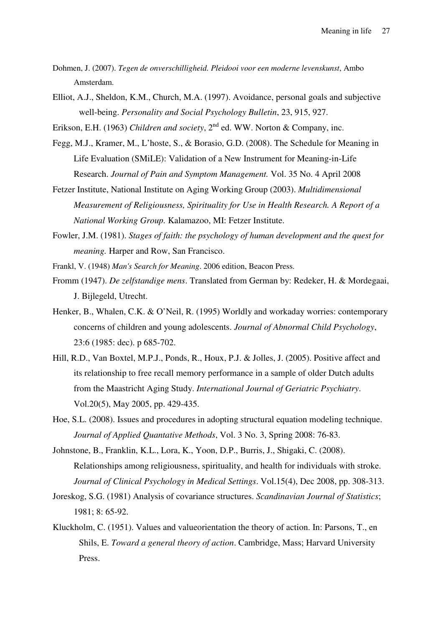- Dohmen, J. (2007). *Tegen de onverschilligheid. Pleidooi voor een moderne levenskunst*, Ambo Amsterdam.
- Elliot, A.J., Sheldon, K.M., Church, M.A. (1997). Avoidance, personal goals and subjective well-being. *Personality and Social Psychology Bulletin*, 23, 915, 927.
- Erikson, E.H. (1963) *Children and society*, 2<sup>nd</sup> ed. WW. Norton & Company, inc.
- Fegg, M.J., Kramer, M., L'hoste, S., & Borasio, G.D. (2008). The Schedule for Meaning in Life Evaluation (SMiLE): Validation of a New Instrument for Meaning-in-Life Research. *Journal of Pain and Symptom Management.* Vol. 35 No. 4 April 2008
- Fetzer Institute, National Institute on Aging Working Group (2003). *Multidimensional Measurement of Religiousness, Spirituality for Use in Health Research. A Report of a National Working Group.* Kalamazoo, MI: Fetzer Institute.
- Fowler, J.M. (1981). *Stages of faith: the psychology of human development and the quest for meaning.* Harper and Row, San Francisco.
- Frankl, V. (1948) *Man's Search for Meaning*. 2006 edition, Beacon Press.
- Fromm (1947). *De zelfstandige mens*. Translated from German by: Redeker, H. & Mordegaai, J. Bijlegeld, Utrecht.
- Henker, B., Whalen, C.K. & O'Neil, R. (1995) Worldly and workaday worries: contemporary concerns of children and young adolescents. *Journal of Abnormal Child Psychology*, 23:6 (1985: dec). p 685-702.
- Hill, R.D., Van Boxtel, M.P.J., Ponds, R., Houx, P.J. & Jolles, J. (2005). Positive affect and its relationship to free recall memory performance in a sample of older Dutch adults from the Maastricht Aging Study. *International Journal of Geriatric Psychiatry*. Vol.20(5), May 2005, pp. 429-435.
- Hoe, S.L. (2008). Issues and procedures in adopting structural equation modeling technique. *Journal of Applied Quantative Methods*, Vol. 3 No. 3, Spring 2008: 76-83.
- Johnstone, B., Franklin, K.L., Lora, K., Yoon, D.P., Burris, J., Shigaki, C. (2008). Relationships among religiousness, spirituality, and health for individuals with stroke. *Journal of Clinical Psychology in Medical Settings*. Vol.15(4), Dec 2008, pp. 308-313.
- Joreskog, S.G. (1981) Analysis of covariance structures. *Scandinavian Journal of Statistics*; 1981; 8: 65-92.
- Kluckholm, C. (1951). Values and valueorientation the theory of action. In: Parsons, T., en Shils, E. *Toward a general theory of action*. Cambridge, Mass; Harvard University Press.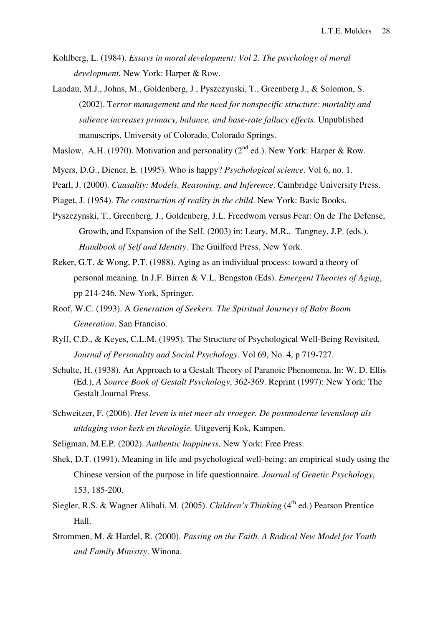- Kohlberg, L. (1984). *Essays in moral development: Vol 2. The psychology of moral development.* New York: Harper & Row.
- Landau, M.J., Johns, M., Goldenberg, J., Pyszczynski, T., Greenberg J., & Solomon, S. (2002). T*error management and the need for nonspecific structure: mortality and salience increases primacy, balance, and base-rate fallacy effects.* Unpublished manuscrips, University of Colorado, Colorado Springs.
- Maslow, A.H. (1970). Motivation and personality ( $2<sup>nd</sup>$  ed.). New York: Harper & Row.
- Myers, D.G., Diener, E. (1995). Who is happy? *Psychological science*. Vol 6, no. 1.
- Pearl, J. (2000). *Causality: Models, Reasoning, and Inference*. Cambridge University Press.
- Piaget, J. (1954). *The construction of reality in the child*. New York: Basic Books.
- Pyszczynski, T., Greenberg, J., Goldenberg, J.L. Freedwom versus Fear: On de The Defense, Growth, and Expansion of the Self. (2003) in: Leary, M.R., Tangney, J.P. (eds.). *Handbook of Self and Identity*. The Guilford Press, New York.
- Reker, G.T. & Wong, P.T. (1988). Aging as an individual process: toward a theory of personal meaning. In J.F. Birren & V.L. Bengston (Eds). *Emergent Theories of Aging*, pp 214-246. New York, Springer.
- Roof, W.C. (1993). A *Generation of Seekers. The Spiritual Journeys of Baby Boom Generation*. San Franciso.
- Ryff, C.D., & Keyes, C.L.M. (1995). The Structure of Psychological Well-Being Revisited*. Journal of Personality and Social Psychology*. Vol 69, No. 4, p 719-727.
- Schulte, H. (1938). An Approach to a Gestalt Theory of Paranoic Phenomena. In: W. D. Ellis (Ed.), *A Source Book of Gestalt Psychology*, 362-369. Reprint (1997): New York: The Gestalt Journal Press.
- Schweitzer, F. (2006). *Het leven is niet meer als vroeger. De postmoderne levensloop als uitdaging voor kerk en theologie.* Uitgeverij Kok, Kampen.
- Seligman, M.E.P. (2002). *Authentic happiness*. New York: Free Press.
- Shek, D.T. (1991). Meaning in life and psychological well-being: an empirical study using the Chinese version of the purpose in life questionnaire. *Journal of Genetic Psychology*, 153, 185-200.
- Siegler, R.S. & Wagner Alibali, M. (2005). *Children's Thinking* (4<sup>th</sup> ed.) Pearson Prentice Hall.
- Strommen, M. & Hardel, R. (2000). *Passing on the Faith. A Radical New Model for Youth and Family Ministry*. Winona.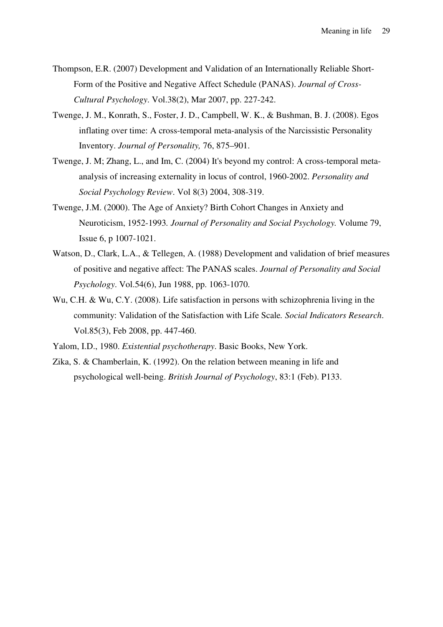- Thompson, E.R. (2007) Development and Validation of an Internationally Reliable Short-Form of the Positive and Negative Affect Schedule (PANAS). *Journal of Cross-Cultural Psychology*. Vol.38(2), Mar 2007, pp. 227-242.
- Twenge, J. M., Konrath, S., Foster, J. D., Campbell, W. K., & Bushman, B. J. (2008). Egos inflating over time: A cross-temporal meta-analysis of the Narcissistic Personality Inventory. *Journal of Personality,* 76, 875–901.
- Twenge, J. M; Zhang, L., and Im, C. (2004) It's beyond my control: A cross-temporal metaanalysis of increasing externality in locus of control, 1960-2002. *Personality and Social Psychology Review*. Vol 8(3) 2004, 308-319.
- Twenge, J.M. (2000). The Age of Anxiety? Birth Cohort Changes in Anxiety and Neuroticism, 1952-1993*. Journal of Personality and Social Psychology.* Volume 79, Issue 6, p 1007-1021.
- Watson, D., Clark, L.A., & Tellegen, A. (1988) Development and validation of brief measures of positive and negative affect: The PANAS scales. *Journal of Personality and Social Psychology*. Vol.54(6), Jun 1988, pp. 1063-1070.
- Wu, C.H. & Wu, C.Y. (2008). Life satisfaction in persons with schizophrenia living in the community: Validation of the Satisfaction with Life Scale*. Social Indicators Research*. Vol.85(3), Feb 2008, pp. 447-460.

Yalom, I.D., 1980. *Existential psychotherapy*. Basic Books, New York.

Zika, S. & Chamberlain, K. (1992). On the relation between meaning in life and psychological well-being. *British Journal of Psychology*, 83:1 (Feb). P133.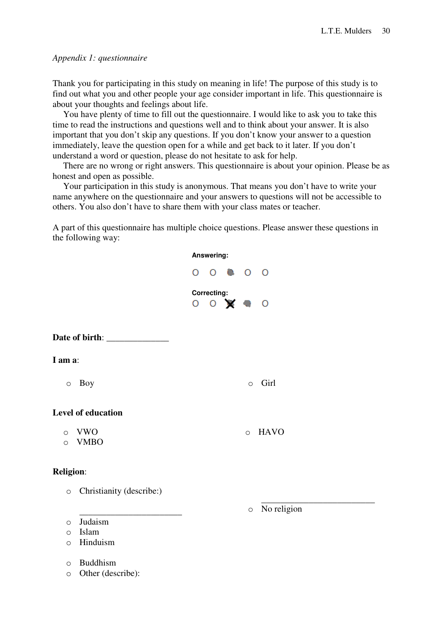# *Appendix 1: questionnaire*

Thank you for participating in this study on meaning in life! The purpose of this study is to find out what you and other people your age consider important in life. This questionnaire is about your thoughts and feelings about life.

You have plenty of time to fill out the questionnaire. I would like to ask you to take this time to read the instructions and questions well and to think about your answer. It is also important that you don't skip any questions. If you don't know your answer to a question immediately, leave the question open for a while and get back to it later. If you don't understand a word or question, please do not hesitate to ask for help.

There are no wrong or right answers. This questionnaire is about your opinion. Please be as honest and open as possible.

Your participation in this study is anonymous. That means you don't have to write your name anywhere on the questionnaire and your answers to questions will not be accessible to others. You also don't have to share them with your class mates or teacher.

A part of this questionnaire has multiple choice questions. Please answer these questions in the following way:

|                                                               | Answering:  |                           |            |             |
|---------------------------------------------------------------|-------------|---------------------------|------------|-------------|
|                                                               |             | $O$ $O$ $\bullet$ $O$ $O$ |            |             |
|                                                               | Correcting: | 0 0 3 0 0                 |            |             |
|                                                               |             |                           |            |             |
| I am a:                                                       |             |                           |            |             |
| Boy<br>$\circ$                                                |             |                           | $\circ$    | Girl        |
| Level of education                                            |             |                           |            |             |
| <b>VWO</b><br>$\circ$<br><b>VMBO</b><br>$\circ$               |             |                           | $\circ$    | <b>HAVO</b> |
| <b>Religion:</b>                                              |             |                           |            |             |
| Christianity (describe:)<br>$\bigcirc$                        |             |                           |            |             |
| Judaism<br>$\circ$<br>Islam<br>$\circ$<br>Hinduism<br>$\circ$ |             |                           | $\bigcirc$ | No religion |

o Buddhism

o Other (describe):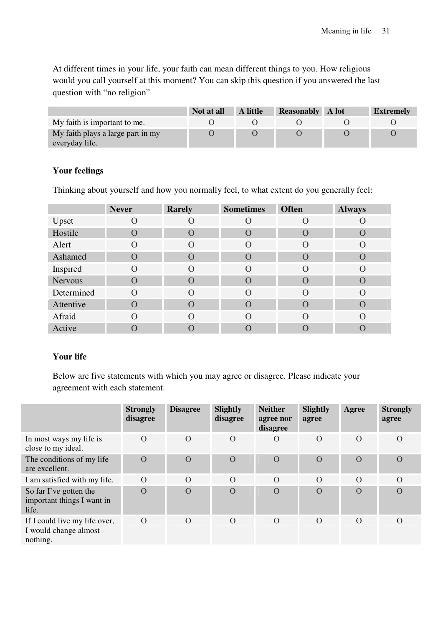At different times in your life, your faith can mean different things to you. How religious would you call yourself at this moment? You can skip this question if you answered the last question with "no religion"

|                                                     | Not at all | A little | <b>Reasonably</b> | A lot | <b>Extremely</b> |
|-----------------------------------------------------|------------|----------|-------------------|-------|------------------|
| My faith is important to me.                        |            |          |                   |       |                  |
| My faith plays a large part in my<br>everyday life. |            |          |                   |       |                  |

# **Your feelings**

Thinking about yourself and how you normally feel, to what extent do you generally feel:

|                | <b>Never</b>  | <b>Rarely</b>      | <b>Sometimes</b> | <b>Often</b>     | <b>Always</b>    |
|----------------|---------------|--------------------|------------------|------------------|------------------|
| Upset          | O             | $\left( \right)$   | $\left( \right)$ | $\left( \right)$ | $\left( \right)$ |
| Hostile        | $\mathcal{O}$ | $\left( \ \right)$ | O                | $\left( \right)$ | $\left( \right)$ |
| Alert          | O             | $\left( \right)$   | $\Omega$         | $\left( \right)$ | $\Omega$         |
| Ashamed        | $\Omega$      | $\left($ )         | $\Omega$         | $\Omega$         | $\Omega$         |
| Inspired       | $\Omega$      | $\left($           | $\Omega$         | $\Omega$         | $\Omega$         |
| <b>Nervous</b> | $\Omega$      | $\left($           | $\Omega$         | $\Omega$         | $\left( \right)$ |
| Determined     | $\Omega$      | $\Omega$           | $\Omega$         | $\Omega$         | $\Omega$         |
| Attentive      | $\cap$        | $\left( \right)$   | $\Omega$         | $\Omega$         | $\left( \right)$ |
| Afraid         | $\Omega$      | $\Omega$           | $\Omega$         | $\Omega$         | $\Omega$         |
| Active         |               |                    |                  |                  |                  |

# **Your life**

Below are five statements with which you may agree or disagree. Please indicate your agreement with each statement.

|                                                                    | <b>Strongly</b><br>disagree | <b>Disagree</b> | Slightly<br>disagree | <b>Neither</b><br>agree nor<br>disagree | <b>Slightly</b><br>agree | Agree    | <b>Strongly</b><br>agree |
|--------------------------------------------------------------------|-----------------------------|-----------------|----------------------|-----------------------------------------|--------------------------|----------|--------------------------|
| In most ways my life is<br>close to my ideal.                      | $\Omega$                    | $\Omega$        | $\Omega$             | $\Omega$                                | $\Omega$                 | $\Omega$ | $\Omega$                 |
| The conditions of my life.<br>are excellent.                       | $\overline{O}$              | $\overline{O}$  | $\overline{O}$       | $\overline{O}$                          | $\overline{O}$           | $\Omega$ | $\Omega$                 |
| I am satisfied with my life.                                       | $\Omega$                    | $\Omega$        | $\Omega$             | $\Omega$                                | $\Omega$                 | $\Omega$ | $\Omega$                 |
| So far I've gotten the<br>important things I want in<br>life.      | $\overline{O}$              | $\Omega$        | $\Omega$             | $\overline{O}$                          | $\overline{O}$           | $\Omega$ | $\Omega$                 |
| If I could live my life over,<br>I would change almost<br>nothing. | $\Omega$                    | $\Omega$        | $\overline{O}$       | $\overline{O}$                          | $\Omega$                 | $\Omega$ | $\Omega$                 |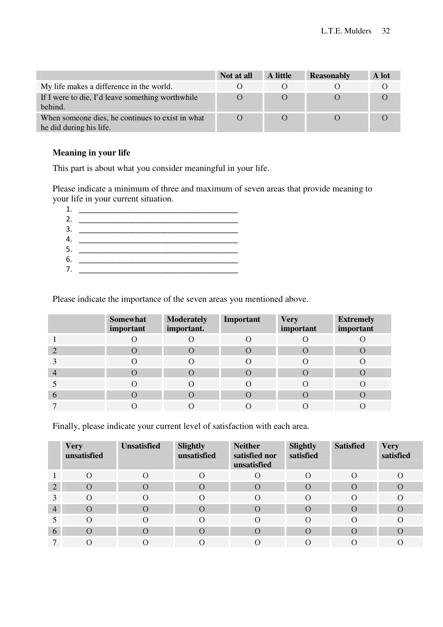|                                                                             | Not at all | A little | <b>Reasonably</b> | A lot |
|-----------------------------------------------------------------------------|------------|----------|-------------------|-------|
| My life makes a difference in the world.                                    |            |          |                   |       |
| If I were to die, I'd leave something worthwhile<br>hehind.                 |            |          |                   |       |
| When someone dies, he continues to exist in what<br>he did during his life. |            |          |                   |       |

# **Meaning in your life**

This part is about what you consider meaningful in your life.

Please indicate a minimum of three and maximum of seven areas that provide meaning to your life in your current situation.



Please indicate the importance of the seven areas you mentioned above.

|   | <b>Somewhat</b><br>important | <b>Moderately</b><br>important. | Important | <b>Very</b><br>important | <b>Extremely</b><br>important |
|---|------------------------------|---------------------------------|-----------|--------------------------|-------------------------------|
|   |                              |                                 |           |                          |                               |
|   | $\left( \right)$             |                                 |           |                          |                               |
|   | $\left( \right)$             |                                 |           |                          |                               |
|   |                              |                                 |           |                          |                               |
|   |                              |                                 |           |                          |                               |
| D |                              |                                 |           |                          |                               |
|   |                              |                                 |           |                          |                               |

Finally, please indicate your current level of satisfaction with each area.

|                | <b>Very</b><br>unsatisfied | <b>Unsatisfied</b> | Slightly<br>unsatisfied | <b>Neither</b><br>satisfied nor<br>unsatisfied | Slightly<br>satisfied | <b>Satisfied</b> | <b>Very</b><br>satisfied |
|----------------|----------------------------|--------------------|-------------------------|------------------------------------------------|-----------------------|------------------|--------------------------|
|                | $\Omega$                   | $\Omega$           | $\Omega$                |                                                | $\left( \right)$      | $\left($         | $\left($ )               |
| $\overline{2}$ | $\Omega$                   | $\left( \right)$   | $\Omega$                | $\Omega$                                       | $\Omega$              | $\left( \right)$ | $\Omega$                 |
|                | $\Omega$                   | $\Omega$           | $\Omega$                |                                                | $\Omega$              |                  | $\Omega$                 |
| 4              | $\Omega$                   | $\bigcap$          | $\Omega$                | $\Omega$                                       | $\Omega$              |                  | $\Omega$                 |
|                | $\Omega$                   | $\Omega$           | $\Omega$                | $\Omega$                                       | $\Omega$              | $\Omega$         | $\Omega$                 |
| 6              | $\Omega$                   | $\left( \right)$   | $\Omega$                | $\Omega$                                       | $\Omega$              |                  | $\bigcirc$               |
|                |                            |                    |                         |                                                |                       |                  |                          |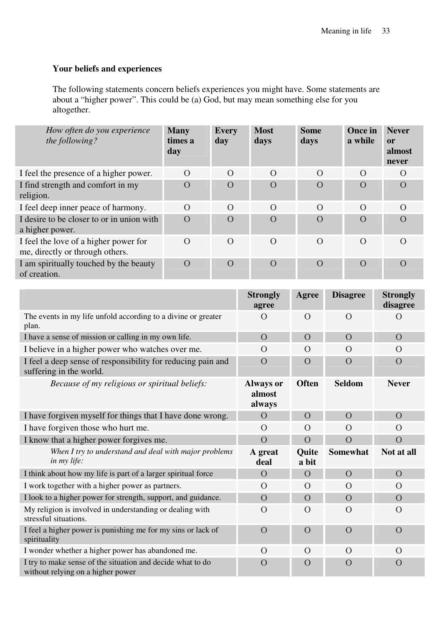# **Your beliefs and experiences**

The following statements concern beliefs experiences you might have. Some statements are about a "higher power". This could be (a) God, but may mean something else for you altogether.

| How often do you experience<br>the following?                            | <b>Many</b><br>times a<br>day | <b>Every</b><br>day | <b>Most</b><br>days | <b>Some</b><br>days | Once in<br>a while | <b>Never</b><br>or<br>almost<br>never |
|--------------------------------------------------------------------------|-------------------------------|---------------------|---------------------|---------------------|--------------------|---------------------------------------|
| I feel the presence of a higher power.                                   | $\Omega$                      | $\Omega$            | $\Omega$            | $\Omega$            | $\Omega$           | $\Omega$                              |
| I find strength and comfort in my<br>religion.                           | $\Omega$                      | $\Omega$            | $\Omega$            | $\Omega$            | $\Omega$           | $\Omega$                              |
| I feel deep inner peace of harmony.                                      | $\Omega$                      | $\Omega$            | $\Omega$            | $\Omega$            | $\Omega$           | $\Omega$                              |
| I desire to be closer to or in union with<br>a higher power.             | $\Omega$                      | $\Omega$            | $\Omega$            | $\Omega$            | $\Omega$           | $\Omega$                              |
| I feel the love of a higher power for<br>me, directly or through others. | $\Omega$                      | $\Omega$            | $\Omega$            | $\Omega$            | $\Omega$           | $\left($                              |
| I am spiritually touched by the beauty<br>of creation.                   | $\overline{O}$                | $\overline{O}$      | $\Omega$            | $\overline{O}$      | $\overline{O}$     | $\Omega$                              |

|                                                                                                 | <b>Strongly</b><br>agree             | Agree                 | <b>Disagree</b> | <b>Strongly</b><br>disagree |
|-------------------------------------------------------------------------------------------------|--------------------------------------|-----------------------|-----------------|-----------------------------|
| The events in my life unfold according to a divine or greater<br>plan.                          | $\Omega$                             | $\Omega$              | $\Omega$        | $\Omega$                    |
| I have a sense of mission or calling in my own life.                                            | $\overline{O}$                       | $\Omega$              | $\Omega$        | $\Omega$                    |
| I believe in a higher power who watches over me.                                                | $\Omega$                             | $\Omega$              | $\Omega$        | $\Omega$                    |
| I feel a deep sense of responsibility for reducing pain and<br>suffering in the world.          | $\overline{O}$                       | $\overline{O}$        | $\Omega$        | $\Omega$                    |
| Because of my religious or spiritual beliefs:                                                   | <b>Always or</b><br>almost<br>always | <b>Often</b>          | <b>Seldom</b>   | <b>Never</b>                |
| I have forgiven myself for things that I have done wrong.                                       | $\Omega$                             | $\overline{O}$        | $\overline{O}$  | $\overline{O}$              |
| I have forgiven those who hurt me.                                                              | $\Omega$                             | $\Omega$              | $\Omega$        | $\Omega$                    |
| I know that a higher power forgives me.                                                         | $\overline{O}$                       | $\Omega$              | $\overline{O}$  | $\overline{O}$              |
| When I try to understand and deal with major problems<br>in my life:                            | A great<br>deal                      | <b>Ouite</b><br>a bit | <b>Somewhat</b> | Not at all                  |
| I think about how my life is part of a larger spiritual force                                   | $\overline{O}$                       | $\Omega$              | $\overline{O}$  | $\overline{O}$              |
| I work together with a higher power as partners.                                                | $\Omega$                             | $\Omega$              | $\Omega$        | $\Omega$                    |
| I look to a higher power for strength, support, and guidance.                                   | $\overline{O}$                       | $\Omega$              | $\Omega$        | $\Omega$                    |
| My religion is involved in understanding or dealing with<br>stressful situations.               | $\Omega$                             | $\Omega$              | $\Omega$        | $\Omega$                    |
| I feel a higher power is punishing me for my sins or lack of<br>spirituality                    | $\Omega$                             | $\Omega$              | $\overline{O}$  | $\Omega$                    |
| I wonder whether a higher power has abandoned me.                                               | $\Omega$                             | $\Omega$              | $\overline{O}$  | $\Omega$                    |
| I try to make sense of the situation and decide what to do<br>without relying on a higher power | $\Omega$                             | $\Omega$              | $\overline{O}$  | $\mathcal{O}$               |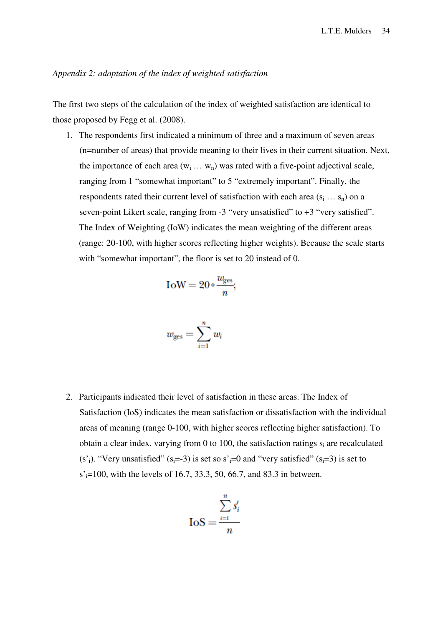# *Appendix 2: adaptation of the index of weighted satisfaction*

The first two steps of the calculation of the index of weighted satisfaction are identical to those proposed by Fegg et al. (2008).

1. The respondents first indicated a minimum of three and a maximum of seven areas (n=number of areas) that provide meaning to their lives in their current situation. Next, the importance of each area  $(w_i \dots w_n)$  was rated with a five-point adjectival scale, ranging from 1 "somewhat important" to 5 "extremely important". Finally, the respondents rated their current level of satisfaction with each area  $(s_i \dots s_n)$  on a seven-point Likert scale, ranging from -3 "very unsatisfied" to +3 "very satisfied". The Index of Weighting (IoW) indicates the mean weighting of the different areas (range: 20-100, with higher scores reflecting higher weights). Because the scale starts with "somewhat important", the floor is set to 20 instead of 0.

$$
IoW = 20 \circ \frac{w_{\text{ges}}}{n};
$$

$$
w_{\text{ges}} = \sum_{i=1}^{n} w_i
$$

2. Participants indicated their level of satisfaction in these areas. The Index of Satisfaction (IoS) indicates the mean satisfaction or dissatisfaction with the individual areas of meaning (range 0-100, with higher scores reflecting higher satisfaction). To obtain a clear index, varying from  $0$  to 100, the satisfaction ratings  $s_i$  are recalculated (s<sup>'</sup><sub>i</sub>). "Very unsatisfied" (s<sub>i</sub>=-3) is set so s'<sub>i</sub>=0 and "very satisfied" (s<sub>i</sub>=3) is set to  $s' = 100$ , with the levels of 16.7, 33.3, 50, 66.7, and 83.3 in between.

$$
I \circ S = \frac{\sum_{i=1}^{n} s'_i}{n}
$$